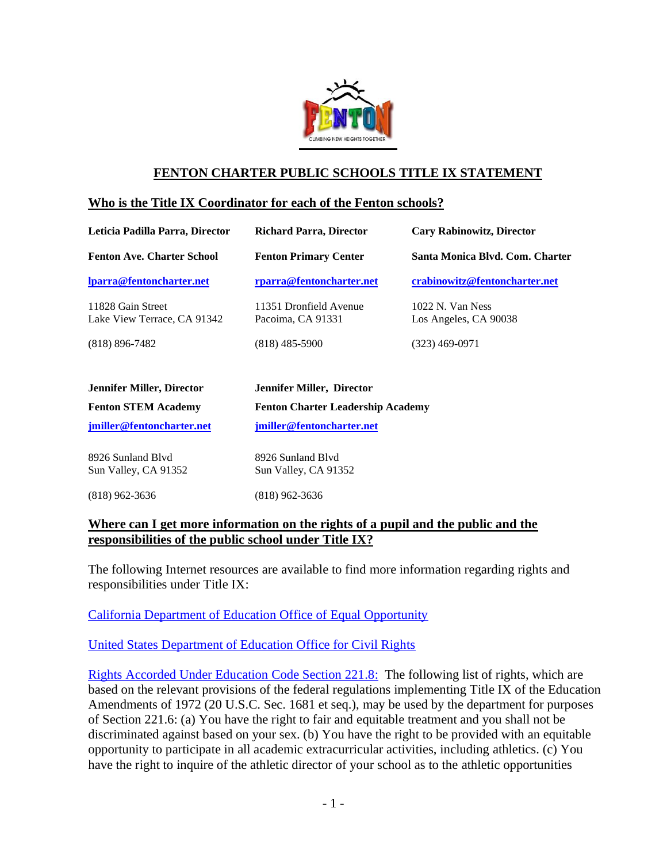

# **FENTON CHARTER PUBLIC SCHOOLS TITLE IX STATEMENT**

#### **Who is the Title IX Coordinator for each of the Fenton schools?**

| Leticia Padilla Parra, Director                  | <b>Richard Parra, Director</b>              | <b>Cary Rabinowitz, Director</b>            |
|--------------------------------------------------|---------------------------------------------|---------------------------------------------|
| <b>Fenton Ave. Charter School</b>                | <b>Fenton Primary Center</b>                | Santa Monica Blvd. Com. Charter             |
| lparra@fentoncharter.net                         | rparra@fentoncharter.net                    | crabinowitz@fentoncharter.net               |
| 11828 Gain Street<br>Lake View Terrace, CA 91342 | 11351 Dronfield Avenue<br>Pacoima, CA 91331 | $1022$ N. Van Ness<br>Los Angeles, CA 90038 |
| $(818) 896 - 7482$                               | $(818)$ 485-5900                            | $(323)$ 469-0971                            |
| <b>Jennifer Miller, Director</b>                 | <b>Jennifer Miller, Director</b>            |                                             |
| <b>Fenton STEM Academy</b>                       | <b>Fenton Charter Leadership Academy</b>    |                                             |
| jmiller@fentoncharter.net                        | jmiller@fentoncharter.net                   |                                             |
| 8926 Sunland Blyd                                | 8926 Sunland Blyd                           |                                             |
| Sun Valley, CA 91352                             | Sun Valley, CA 91352                        |                                             |

(818) 962-3636 (818) 962-3636

### **Where can I get more information on the rights of a pupil and the public and the responsibilities of the public school under Title IX?**

The following Internet resources are available to find more information regarding rights and responsibilities under Title IX:

[California Department of Education Office of Equal Opportunity](http://www.cde.ca.gov/re/di/eo/genequitytitleix.asp)

[United States Department of Education Office for Civil Rights](http://www2.ed.gov/policy/rights/guid/ocr/sex.html)

[Rights Accorded Under Education Code Section 221.8:](http://leginfo.legislature.ca.gov/faces/codes_displaySection.xhtml?lawCode=EDC§ionNum=221.8.) The following list of rights, which are based on the relevant provisions of the federal regulations implementing Title IX of the Education Amendments of 1972 (20 U.S.C. Sec. 1681 et seq.), may be used by the department for purposes of Section 221.6: (a) You have the right to fair and equitable treatment and you shall not be discriminated against based on your sex. (b) You have the right to be provided with an equitable opportunity to participate in all academic extracurricular activities, including athletics. (c) You have the right to inquire of the athletic director of your school as to the athletic opportunities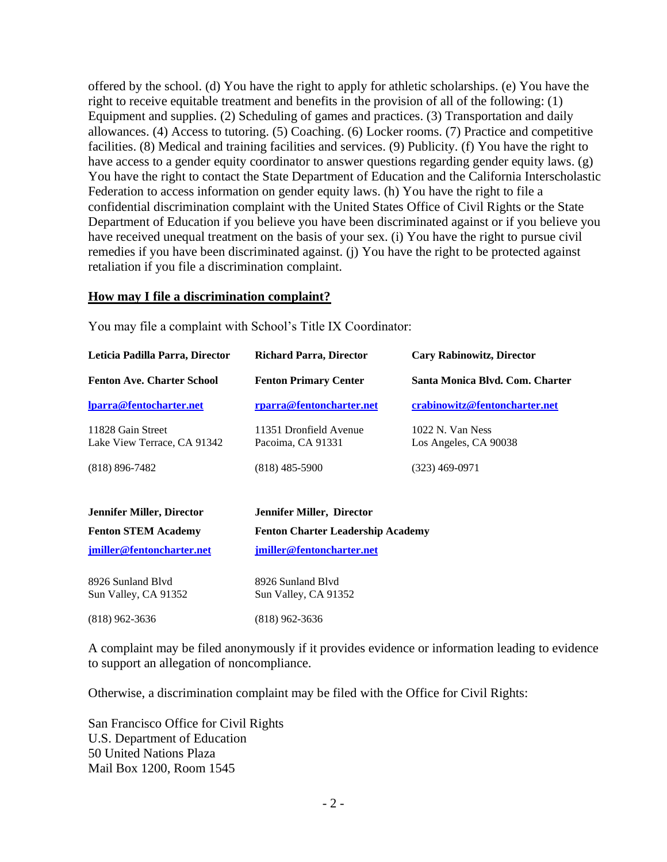offered by the school. (d) You have the right to apply for athletic scholarships. (e) You have the right to receive equitable treatment and benefits in the provision of all of the following: (1) Equipment and supplies. (2) Scheduling of games and practices. (3) Transportation and daily allowances. (4) Access to tutoring. (5) Coaching. (6) Locker rooms. (7) Practice and competitive facilities. (8) Medical and training facilities and services. (9) Publicity. (f) You have the right to have access to a gender equity coordinator to answer questions regarding gender equity laws. (g) You have the right to contact the State Department of Education and the California Interscholastic Federation to access information on gender equity laws. (h) You have the right to file a confidential discrimination complaint with the United States Office of Civil Rights or the State Department of Education if you believe you have been discriminated against or if you believe you have received unequal treatment on the basis of your sex. (i) You have the right to pursue civil remedies if you have been discriminated against. (j) You have the right to be protected against retaliation if you file a discrimination complaint.

#### **How may I file a discrimination complaint?**

You may file a complaint with School's Title IX Coordinator:

| Leticia Padilla Parra, Director<br><b>Richard Parra, Director</b> |                                             | <b>Cary Rabinowitz, Director</b>          |  |
|-------------------------------------------------------------------|---------------------------------------------|-------------------------------------------|--|
| <b>Fenton Ave. Charter School</b>                                 | <b>Fenton Primary Center</b>                | Santa Monica Blvd. Com. Charter           |  |
| lparra@fentocharter.net                                           | rparra@fentoncharter.net                    | crabinowitz@fentoncharter.net             |  |
| 11828 Gain Street<br>Lake View Terrace, CA 91342                  | 11351 Dronfield Avenue<br>Pacoima, CA 91331 | 1022 N. Van Ness<br>Los Angeles, CA 90038 |  |
| $(818) 896 - 7482$                                                | $(818)$ 485-5900                            | (323) 469-0971                            |  |
|                                                                   |                                             |                                           |  |

| <b>Jennifer Miller, Director</b> | Jennifer Miller, Director                |
|----------------------------------|------------------------------------------|
| <b>Fenton STEM Academy</b>       | <b>Fenton Charter Leadership Academy</b> |
| jmiller@fentoncharter.net        | imiller@fentoncharter.net                |

| 8926 Sunland Blyd    | 8926 Sunland Blyd    |
|----------------------|----------------------|
| Sun Valley, CA 91352 | Sun Valley, CA 91352 |
| $(818)$ 962-3636     | $(818)$ 962-3636     |

A complaint may be filed anonymously if it provides evidence or information leading to evidence to support an allegation of noncompliance.

Otherwise, a discrimination complaint may be filed with the Office for Civil Rights:

San Francisco Office for Civil Rights U.S. Department of Education 50 United Nations Plaza Mail Box 1200, Room 1545